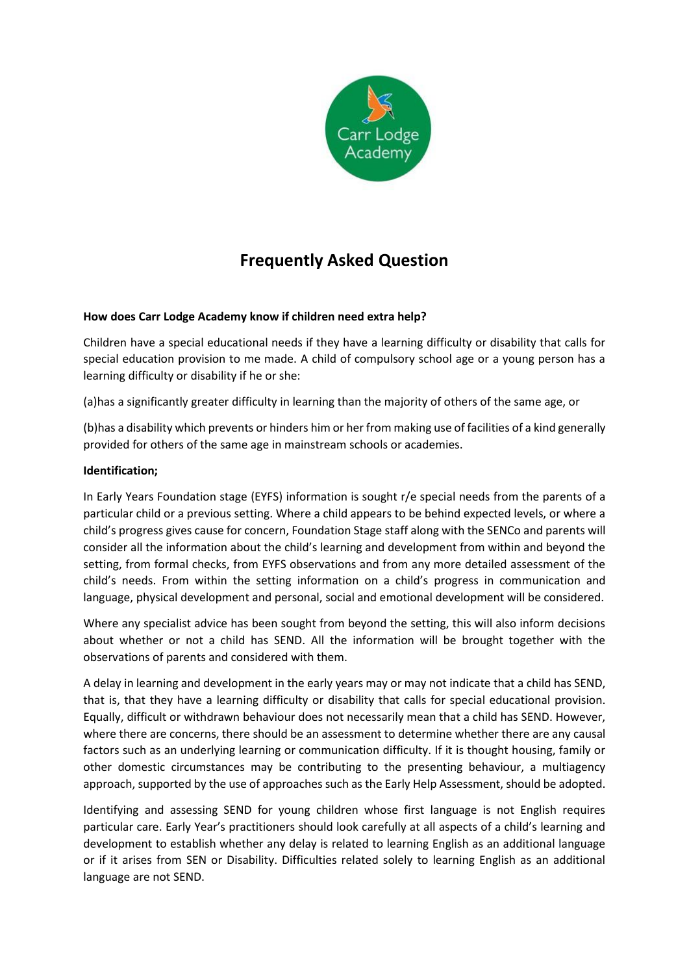

# **Frequently Asked Question**

## **How does Carr Lodge Academy know if children need extra help?**

Children have a special educational needs if they have a learning difficulty or disability that calls for special education provision to me made. A child of compulsory school age or a young person has a learning difficulty or disability if he or she:

(a)has a significantly greater difficulty in learning than the majority of others of the same age, or

(b)has a disability which prevents or hinders him or her from making use of facilities of a kind generally provided for others of the same age in mainstream schools or academies.

## **Identification;**

In Early Years Foundation stage (EYFS) information is sought r/e special needs from the parents of a particular child or a previous setting. Where a child appears to be behind expected levels, or where a child's progress gives cause for concern, Foundation Stage staff along with the SENCo and parents will consider all the information about the child's learning and development from within and beyond the setting, from formal checks, from EYFS observations and from any more detailed assessment of the child's needs. From within the setting information on a child's progress in communication and language, physical development and personal, social and emotional development will be considered.

Where any specialist advice has been sought from beyond the setting, this will also inform decisions about whether or not a child has SEND. All the information will be brought together with the observations of parents and considered with them.

A delay in learning and development in the early years may or may not indicate that a child has SEND, that is, that they have a learning difficulty or disability that calls for special educational provision. Equally, difficult or withdrawn behaviour does not necessarily mean that a child has SEND. However, where there are concerns, there should be an assessment to determine whether there are any causal factors such as an underlying learning or communication difficulty. If it is thought housing, family or other domestic circumstances may be contributing to the presenting behaviour, a multiagency approach, supported by the use of approaches such as the Early Help Assessment, should be adopted.

Identifying and assessing SEND for young children whose first language is not English requires particular care. Early Year's practitioners should look carefully at all aspects of a child's learning and development to establish whether any delay is related to learning English as an additional language or if it arises from SEN or Disability. Difficulties related solely to learning English as an additional language are not SEND.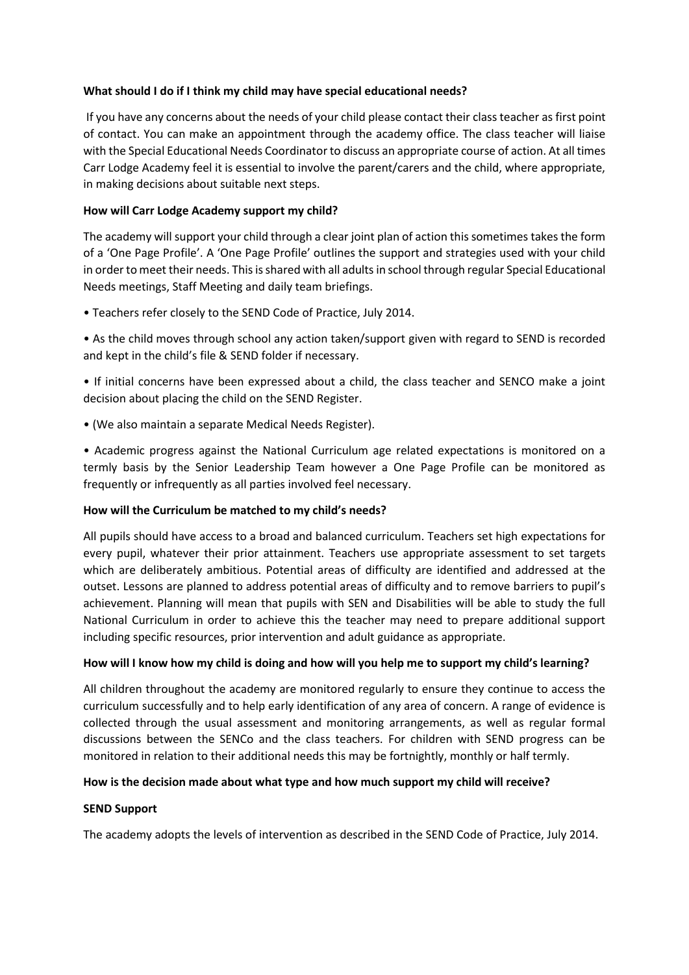## **What should I do if I think my child may have special educational needs?**

If you have any concerns about the needs of your child please contact their class teacher as first point of contact. You can make an appointment through the academy office. The class teacher will liaise with the Special Educational Needs Coordinator to discuss an appropriate course of action. At all times Carr Lodge Academy feel it is essential to involve the parent/carers and the child, where appropriate, in making decisions about suitable next steps.

## **How will Carr Lodge Academy support my child?**

The academy will support your child through a clear joint plan of action this sometimes takes the form of a 'One Page Profile'. A 'One Page Profile' outlines the support and strategies used with your child in order to meet their needs. Thisis shared with all adults in school through regular Special Educational Needs meetings, Staff Meeting and daily team briefings.

• Teachers refer closely to the SEND Code of Practice, July 2014.

• As the child moves through school any action taken/support given with regard to SEND is recorded and kept in the child's file & SEND folder if necessary.

• If initial concerns have been expressed about a child, the class teacher and SENCO make a joint decision about placing the child on the SEND Register.

• (We also maintain a separate Medical Needs Register).

• Academic progress against the National Curriculum age related expectations is monitored on a termly basis by the Senior Leadership Team however a One Page Profile can be monitored as frequently or infrequently as all parties involved feel necessary.

#### **How will the Curriculum be matched to my child's needs?**

All pupils should have access to a broad and balanced curriculum. Teachers set high expectations for every pupil, whatever their prior attainment. Teachers use appropriate assessment to set targets which are deliberately ambitious. Potential areas of difficulty are identified and addressed at the outset. Lessons are planned to address potential areas of difficulty and to remove barriers to pupil's achievement. Planning will mean that pupils with SEN and Disabilities will be able to study the full National Curriculum in order to achieve this the teacher may need to prepare additional support including specific resources, prior intervention and adult guidance as appropriate.

#### **How will I know how my child is doing and how will you help me to support my child's learning?**

All children throughout the academy are monitored regularly to ensure they continue to access the curriculum successfully and to help early identification of any area of concern. A range of evidence is collected through the usual assessment and monitoring arrangements, as well as regular formal discussions between the SENCo and the class teachers. For children with SEND progress can be monitored in relation to their additional needs this may be fortnightly, monthly or half termly.

#### **How is the decision made about what type and how much support my child will receive?**

#### **SEND Support**

The academy adopts the levels of intervention as described in the SEND Code of Practice, July 2014.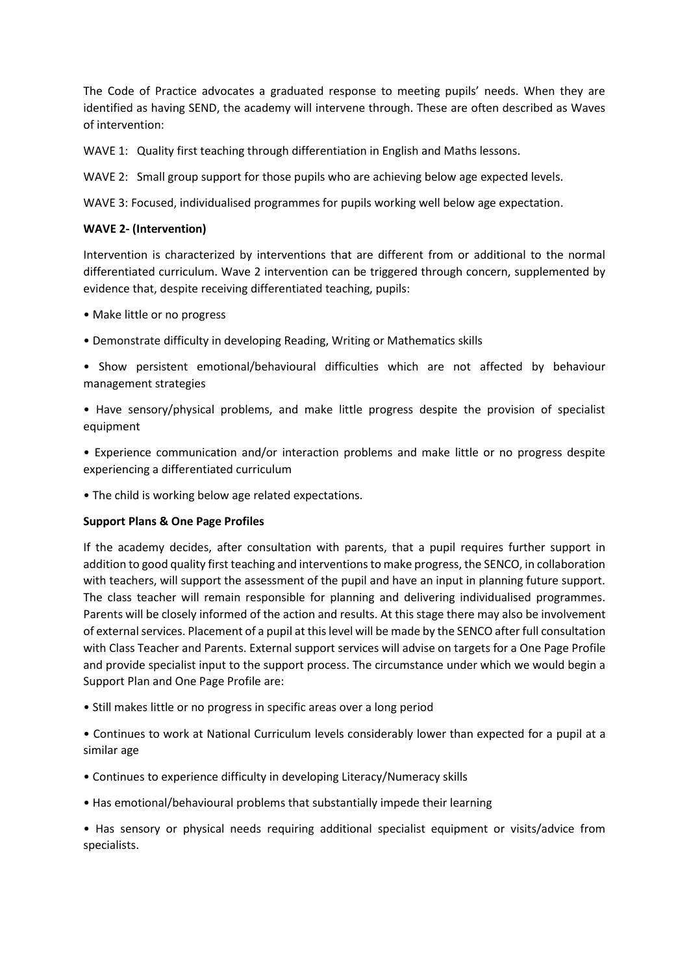The Code of Practice advocates a graduated response to meeting pupils' needs. When they are identified as having SEND, the academy will intervene through. These are often described as Waves of intervention:

WAVE 1: Quality first teaching through differentiation in English and Maths lessons.

WAVE 2: Small group support for those pupils who are achieving below age expected levels.

WAVE 3: Focused, individualised programmes for pupils working well below age expectation.

## **WAVE 2- (Intervention)**

Intervention is characterized by interventions that are different from or additional to the normal differentiated curriculum. Wave 2 intervention can be triggered through concern, supplemented by evidence that, despite receiving differentiated teaching, pupils:

- Make little or no progress
- Demonstrate difficulty in developing Reading, Writing or Mathematics skills
- Show persistent emotional/behavioural difficulties which are not affected by behaviour management strategies
- Have sensory/physical problems, and make little progress despite the provision of specialist equipment

• Experience communication and/or interaction problems and make little or no progress despite experiencing a differentiated curriculum

• The child is working below age related expectations.

## **Support Plans & One Page Profiles**

If the academy decides, after consultation with parents, that a pupil requires further support in addition to good quality first teaching and interventions to make progress, the SENCO, in collaboration with teachers, will support the assessment of the pupil and have an input in planning future support. The class teacher will remain responsible for planning and delivering individualised programmes. Parents will be closely informed of the action and results. At this stage there may also be involvement of external services. Placement of a pupil at this level will be made by the SENCO after full consultation with Class Teacher and Parents. External support services will advise on targets for a One Page Profile and provide specialist input to the support process. The circumstance under which we would begin a Support Plan and One Page Profile are:

- Still makes little or no progress in specific areas over a long period
- Continues to work at National Curriculum levels considerably lower than expected for a pupil at a similar age
- Continues to experience difficulty in developing Literacy/Numeracy skills
- Has emotional/behavioural problems that substantially impede their learning

• Has sensory or physical needs requiring additional specialist equipment or visits/advice from specialists.